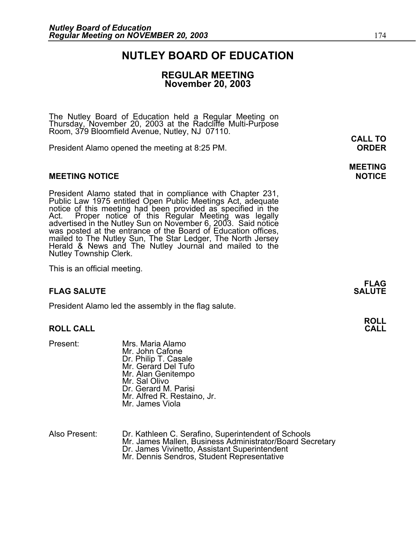### **NUTLEY BOARD OF EDUCATION**

### **REGULAR MEETING November 20, 2003**

The Nutley Board of Education held a Regular Meeting on Thursday, November 20, 2003 at the Radcliffe Multi-Purpose Room, 379 Bloomfield Avenue, Nutley, NJ 07110.

President Alamo opened the meeting at 8:25 PM. **ORDER**

#### **MEETING NOTICE NOTICE AND INCLUSION CONTROL**

President Alamo stated that in compliance with Chapter 231,<br>Public Law 1975 entitled Open Public Meetings Act, adequate<br>notice of this meeting had been provided as specified in the<br>Act. Proper notice of this Regular Meetin was posted at the entrance of the Board of Education offices, mailed to The Nutley Sun, The Star Ledger, The North Jersey Herald & News and The Nutley Journal and mailed to the Nutley Township Clerk.

This is an official meeting.

#### **FLAG SALUTE** SALUTE SALUTE SALUTE SALUTE SALUTE SALUTE SALUTE SALUTE SALUTE SALUTE SALUTE SALUTE SALUTE SALUTE SALUTE

President Alamo led the assembly in the flag salute.

#### **ROLL CALL CALL**

- Present: Mrs. Maria Alamo Mr. John Cafone Dr. Philip T. Casale Mr. Gerard Del Tufo Mr. Alan Genitempo Mr. Sal Olivo Dr. Gerard M. Parisi Mr. Alfred R. Restaino, Jr. Mr. James Viola
- Also Present: Dr. Kathleen C. Serafino, Superintendent of Schools Mr. James Mallen, Business Administrator/Board Secretary<br>Dr. James Vivinetto, Assistant Superintendent<br>Mr. Dennis Sendros, Student Representative

**CALL TO** 

# **MEETING**

**FLAG** 

# **ROLL**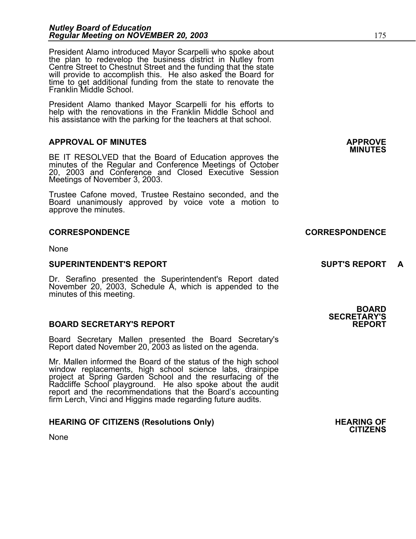President Alamo introduced Mayor Scarpelli who spoke about the plan to redevelop the business district in Nutley from Centre Street to Chestnut Street and the funding that the state will provide to accomplish this. He also asked the Board for time to get additional funding from the state to renovate the Franklin Middle School.

President Alamo thanked Mayor Scarpelli for his efforts to help with the renovations in the Franklin Middle School and his assistance with the parking for the teachers at that school.

## **APPROVAL OF MINUTES APPROVE**

BE IT RESOLVED that the Board of Education approves the minutes of the Regular and Conference Meetings of October 20, 2003 and Conference and Closed Executive Session Meetings of November 3, 2003.

Trustee Cafone moved, Trustee Restaino seconded, and the Board unanimously approved by voice vote a motion to approve the minutes.

#### **CORRESPONDENCE CORRESPONDENCE**

None

#### **SUPERINTENDENT'S REPORT SUPT'S REPORT A**

Dr. Serafino presented the Superintendent's Report dated November 20, 2003, Schedule A, which is appended to the minutes of this meeting.

#### **BOARD SECRETARY'S REPORT**

Board Secretary Mallen presented the Board Secretary's Report dated November 20, 2003 as listed on the agenda.

Mr. Mallen informed the Board of the status of the high school window replacements, high school science labs, drainpipe project at Spring Garden School and the resurfacing of the<br>Radcliffe School playground. He also spoke about the audit<br>report and the recommendations that the Board's accounting<br>firm Lerch, Vinci and Higgins made regarding

#### **HEARING OF CITIZENS (Resolutions Only) THEARING OF STATE AND REARING OF STATE AND REARING OF**

None

### **BOARD SECRETARY'S**

**CITIZENS**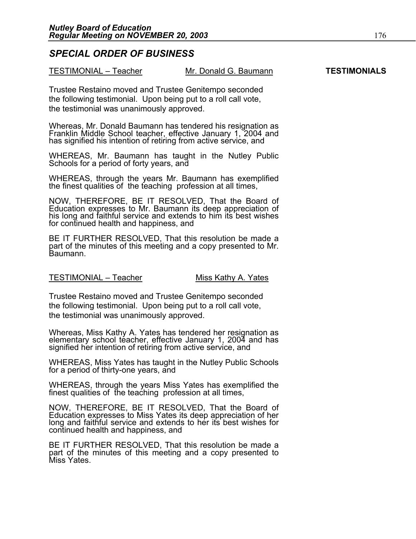### *SPECIAL ORDER OF BUSINESS*

| TESTIMONIAL - Teacher | Mr. Donald G. Baumann | <b>TESTIMONIALS</b> |
|-----------------------|-----------------------|---------------------|
|-----------------------|-----------------------|---------------------|

Trustee Restaino moved and Trustee Genitempo seconded the following testimonial. Upon being put to a roll call vote, the testimonial was unanimously approved.

Whereas, Mr. Donald Baumann has tendered his resignation as<br>Franklin Middle School teacher, effective January 1, 2004 and<br>has signified his intention of retiring from active service, and

WHEREAS, Mr. Baumann has taught in the Nutley Public Schools for a period of forty years, and

WHEREAS, through the years Mr. Baumann has exemplified the finest qualities of the teaching profession at all times,

NOW, THEREFORE, BE IT RESOLVED, That the Board of Education expresses to Mr. Baumann its deep appreciation of his long and faithful service and extends to him its best wishes for continued health and happiness, and

BE IT FURTHER RESOLVED, That this resolution be made a part of the minutes of this meeting and a copy presented to Mr. Baumann.

#### TESTIMONIAL – Teacher Miss Kathy A. Yates

Trustee Restaino moved and Trustee Genitempo seconded the following testimonial. Upon being put to a roll call vote, the testimonial was unanimously approved.

Whereas, Miss Kathy A. Yates has tendered her resignation as elementary school teacher, effective January 1, 2004 and has signified her intention of retiring from active service, and

WHEREAS, Miss Yates has taught in the Nutley Public Schools for a period of thirty-one years, and

WHEREAS, through the years Miss Yates has exemplified the finest qualities of the teaching profession at all times,

NOW, THEREFORE, BE IT RESOLVED, That the Board of Education expresses to Miss Yates its deep appreciation of her long and faithful service and extends to her its best wishes for continued health and happiness, and

BE IT FURTHER RESOLVED, That this resolution be made a part of the minutes of this meeting and a copy presented to Miss Yates.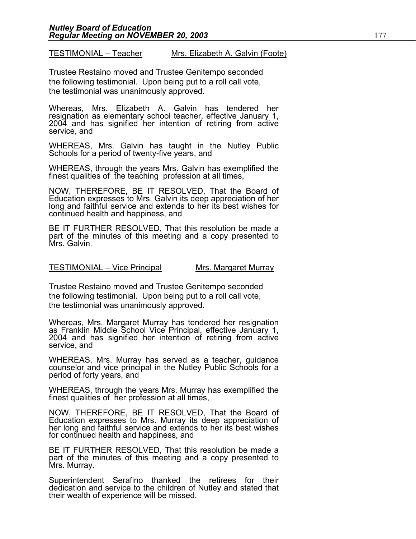TESTIMONIAL – Teacher Mrs. Elizabeth A. Galvin (Foote)

Trustee Restaino moved and Trustee Genitempo seconded the following testimonial. Upon being put to a roll call vote, the testimonial was unanimously approved.

Whereas, Mrs. Elizabeth A. Galvin has tendered her resignation as elementary school teacher, effective January 1, 2004 and has signified her intention of retiring from active service, and

WHEREAS, Mrs. Galvin has taught in the Nutley Public Schools for a period of twenty-five years, and

WHEREAS, through the years Mrs. Galvin has exemplified the finest qualities of the teaching profession at all times,

NOW, THEREFORE, BE IT RESOLVED, That the Board of Education expresses to Mrs. Galvin its deep appreciation of her long and faithful service and extends to her its best wishes for continued health and happiness, and

BE IT FURTHER RESOLVED, That this resolution be made a part of the minutes of this meeting and a copy presented to Mrs. Galvin.

#### TESTIMONIAL – Vice Principal Mrs. Margaret Murray

Trustee Restaino moved and Trustee Genitempo seconded the following testimonial. Upon being put to a roll call vote, the testimonial was unanimously approved.

Whereas, Mrs. Margaret Murray has tendered her resignation as Franklin Middle School Vice Principal, effective January 1, 2004 and has signified her intention of retiring from active service, and

WHEREAS, Mrs. Murray has served as a teacher, guidance counselor and vice principal in the Nutley Public Schools for a period of forty years, and

WHEREAS, through the years Mrs. Murray has exemplified the finest qualities of her profession at all times,

NOW, THEREFORE, BE IT RESOLVED, That the Board of Education expresses to Mrs. Murray its deep appreciation of her long and faithful service and extends to her its best wishes for continued health and happiness, and

BE IT FURTHER RESOLVED, That this resolution be made a part of the minutes of this meeting and a copy presented to Mrs. Murray.

Superintendent Serafino thanked the retirees for their dedication and service to the children of Nutley and stated that their wealth of experience will be missed.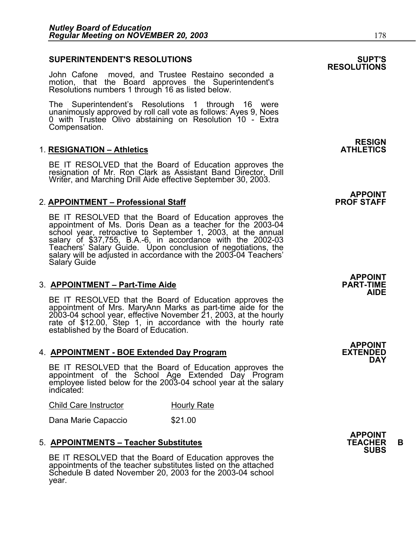#### **SUPERINTENDENT'S RESOLUTIONS SUPT'S**

John Cafone moved, and Trustee Restaino seconded a motion, that the Board approves the Superintendent's Resolutions numbers 1 through 16 as listed below.

The Superintendent's Resolutions 1 through 16 were unanimously approved by roll call vote as follows: Ayes 9, Noes 0 with Trustee Olivo abstaining on Resolution 10 - Extra Compensation.

#### **1. RESIGNATION – Athletics**

BE IT RESOLVED that the Board of Education approves the resignation of Mr. Ron Clark as Assistant Band Director, Drill Writer, and Marching Drill Aide effective September 30, 2003.

#### 2. **APPOINTMENT – Professional Staff**

BE IT RESOLVED that the Board of Education approves the appointment of Ms. Doris Dean as a teacher for the 2003-04 school year, retroactive to September 1, 2003, at the annual<br>salary of \$37,755, B.A.-6, in accordance with the 2002-03 Teachers' Salary Guide. Upon conclusion of negotiations, the<br>salary will be adjusted in accordance with the 2003-04 Teachers' Salary Guide

#### 3. **APPOINTMENT – Part-Time Aide**

BE IT RESOLVED that the Board of Education approves the appointment of Mrs. MaryAnn Marks as part-time aide for the 2003-04 school year, effective November 21, 2003, at the hourly rate of \$12.00, Step 1, in accordance with the hourly rate established by the Board of Education.

#### 4. **APPOINTMENT - BOE Extended Day Program**

BE IT RESOLVED that the Board of Education approves the appointment of the School Age Extended Day Program employee listed below for the 2003-04 school year at the salary indicated:

| Child Care Instructor<br><b>Hourly Rate</b> |  |
|---------------------------------------------|--|
|---------------------------------------------|--|

Dana Marie Capaccio  $$21.00$ 

### 5. **APPOINTMENTS – Teacher Substitutes TEACHER B SUBS**

BE IT RESOLVED that the Board of Education approves the appointments of the teacher substitutes listed on the attached Schedule B dated November 20, 2003 for the 2003-04 school year.

**RESIGN<br>ATHLETICS** 

**APPOINT<br>PROF STAFF** 

**APPOINT AIDE** 

**APPOINT DAY** 

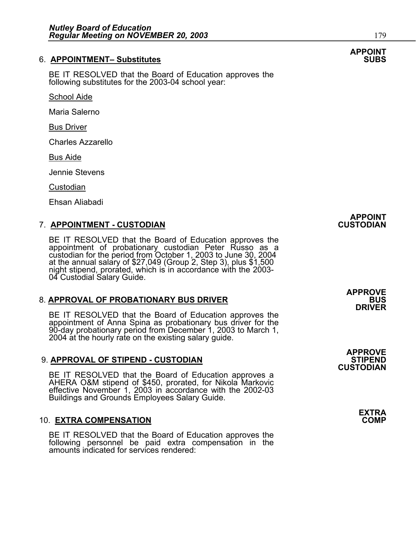### **6. APPOINTMENT- Substitutes**

BE IT RESOLVED that the Board of Education approves the following substitutes for the 2003-04 school year:

School Aide

Maria Salerno

Bus Driver

Charles Azzarello

Bus Aide

Jennie Stevens

**Custodian** 

Ehsan Aliabadi

### 7. **APPOINTMENT - CUSTODIAN CUSTODIAN**

BE IT RESOLVED that the Board of Education approves the<br>appointment of probationary custodian Peter Russo as a<br>custodian for the period from October 1, 2003 to June 30, 2004 at the annual salary of \$27,049 (Group 2, Step 3), plus \$1,500<br>night stipend, prorated, which is in accordance with the 2003-04 Custodial Salary Guide.

### 8. APPROVAL OF PROBATIONARY BUS DRIVER

BE IT RESOLVED that the Board of Education approves the appointment of Anna Spina as probationary bus driver for the 90-day probationary period from December 1, 2003 to March 1, 2004 at the hourly rate on the existing salary guide.

### **9. APPROVAL OF STIPEND - CUSTODIAN**

BE IT RESOLVED that the Board of Education approves a AHERA O&M stipend of \$450, prorated, for Nikola Markovic effective November 1, 2003 in accordance with the 2002-03 Buildings and Grounds Employees Salary Guide.

# 10. **EXTRA COMPENSATION COMP**

BE IT RESOLVED that the Board of Education approves the following personnel be paid extra compensation in the amounts indicated for services rendered:

**APPOINT** 

**APPROVE DRIVER** 

**APPROVE CUSTODIAN** 

**EXTRA** 

# **APPOINT**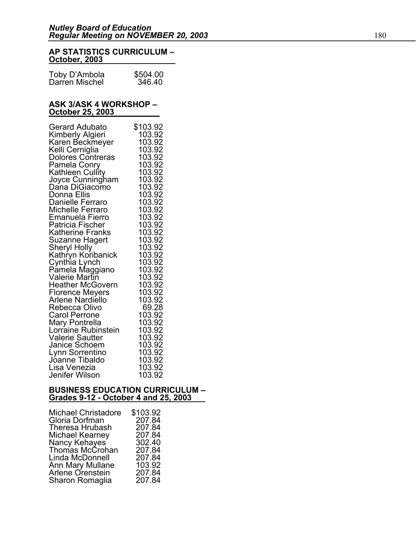#### **AP STATISTICS CURRICULUM – October, 2003**

| Toby D'Ambola  | \$504.00 |
|----------------|----------|
| Darren Mischel | 346.40   |

#### **ASK 3/ASK 4 WORKSHOP – October 25, 2003**

| <b>Gerard Adubato</b>                                  | \$103.92         |
|--------------------------------------------------------|------------------|
| Kimberly Algieri                                       | 103.92           |
| Karen Beckmeyer                                        | 103.92           |
| Kelli Cerniglia                                        | 103.92           |
| Dolores Contreras                                      | 103.92           |
| Pamela Conry                                           | 103.92           |
| Kathleen Cullity                                       | 103.92           |
| Joyce Cunningham                                       | 103.92           |
| Dana DiGiacomo                                         | 103.92           |
| Donna Ellis                                            | 103.92           |
| Danielle Ferraro                                       | 103.92           |
| <b>Michelle Ferraro</b>                                | 103.92           |
| Emanuela Fierro                                        | 103.92           |
| Patricia Fischer                                       | 103.92           |
| <b>Katherine Franks</b>                                | 103.92           |
| Suzanne Hagert                                         | 103.92           |
| <b>Sheryl Holly</b>                                    | 103.92           |
| Kathryn Koribanick<br>Cynthia Lynch<br>Pamela Maggiano | 103.92           |
|                                                        | 103.92           |
|                                                        | 103.92           |
| Valerie Martin                                         | 103.92           |
| <b>Heather McGovern</b>                                | 103.92<br>103.92 |
| <b>Florence Meyers</b><br>Arlene Nardiello             | 103.92           |
| Rebecca Olivo                                          | 69.28            |
| <b>Carol Perrone</b>                                   | 103.92           |
|                                                        | 103.92           |
| Mary Pontrella<br>Lorraine Rubinstein                  | 103.92           |
| <b>Valerie Sautter</b>                                 | 103.92           |
| Janice Schoem                                          | 103.92           |
| Lynn Sorrentino                                        | 103.92           |
| Joanne Tibaldo                                         | 103.92           |
| Lisa Venezia                                           | 103.92           |
| Jenifer Wilson                                         | 103.92           |

# **BUSINESS EDUCATION CURRICULUM – Grades 9-12 - October 4 and 25, 2003**

| Michael Christadore              | \$103.92 |
|----------------------------------|----------|
| Gloria Dorfman                   | 207.84   |
| Theresa Hrubash                  | 207.84   |
| Michael Kearney                  | 207.84   |
| Nancy Kehayes<br>Thomas McCrohan | 302.40   |
|                                  | 207.84   |
| Linda McDonnell                  | 207.84   |
| Ann Mary Mullane                 | 103.92   |
| Arlene Orenstein                 | 207.84   |
| Sharon Romaglia                  | 207.84   |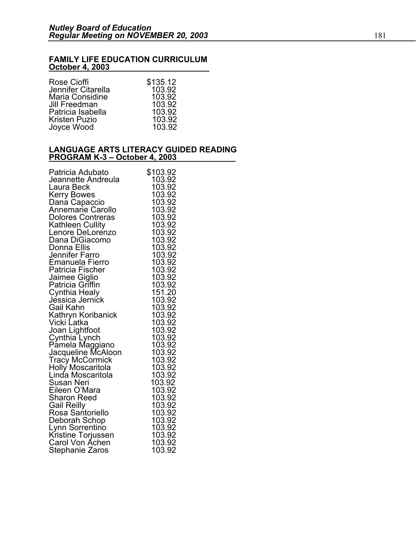#### **FAMILY LIFE EDUCATION CURRICULUM October 4, 2003**

| Rose Cioffi        | \$135.12 |
|--------------------|----------|
| Jennifer Citarella | 103.92   |
| Maria Considine    | 103.92   |
| Jill Freedman      | 103.92   |
| Patricia Isabella  | 103.92   |
| Kristen Puzio      | 103.92   |
| Joyce Wood         | 103.92   |

#### **LANGUAGE ARTS LITERACY GUIDED READING PROGRAM K-3 – October 4, 2003**

| Patricia Adubato                     | \$103.92         |
|--------------------------------------|------------------|
| Jeannette Andreula                   | 103.92           |
| Laura Beck                           | 103.92           |
| <b>Kerry Bowes</b>                   | 103.92           |
|                                      | 103.92           |
| Dana Capaccio<br>Annemarie Carollo   | 103.92           |
| <b>Dolores Contreras</b>             | 103.92           |
|                                      |                  |
| Kathleen Cullity<br>Lenore DeLorenzo | 103.92<br>103.92 |
| Dana DiGiacomo                       |                  |
| Donna Ellis                          | 103.92<br>103.92 |
| Jennifer Farro                       |                  |
| Emanuela Fierro                      | 103.92<br>103.92 |
|                                      | 103.92           |
| Patricia Fischer                     | 103.92           |
| Jaimee Giglio<br>Patricia Griffin    | 103.92           |
|                                      | 151.20           |
| Cynthia Healy<br>Jéssica Jernick     | 103.92           |
| Gail Kahn                            | 103.92           |
| Kathryn Koribanick                   | 103.92           |
| Vicki Latka                          | 103.92           |
| Joan Lightfoot                       | 103.92           |
| Cynthia Lynch                        | 103.92           |
| Pamela Maggiano                      | 103.92           |
| Jacqueline McAloon                   | 103.92           |
| <b>Tracy McCormick</b>               | 103.92           |
| Holly Moscaritola                    | 103.92           |
| Linda Moscaritola                    | 103.92           |
| Susan Neri                           | 103.92           |
| Eileen O'Mara                        | 103.92           |
| Sharon Reed                          | 103.92           |
| Gail Reilly                          | 103.92           |
| Rosa Santoriello                     | 103.92           |
| Deborah Schop                        | 103.92           |
| Lynn Sorrentino                      | 103.92           |
| Kristine Torjussen                   | 103.92           |
| Carol Von Áchen                      | 103.92           |
| Stephanie Zaros                      | 103.92           |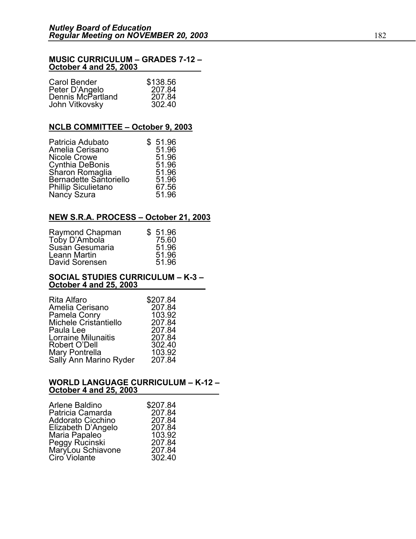#### **MUSIC CURRICULUM – GRADES 7-12 – October 4 and 25, 2003**

| Carol Bender                        | \$138.56 |
|-------------------------------------|----------|
|                                     | 207.84   |
| Peter D'Angelo<br>Dennis McPartland | 207.84   |
| John Vitkovsky                      | 302.40   |

#### **NCLB COMMITTEE – October 9, 2003**

| Patricia Adubato                   | \$51.96 |
|------------------------------------|---------|
| Amelia Cerisano                    | 51.96   |
| Nicole Crowe                       | 51.96   |
| Cynthia DeBonis                    | 51.96   |
| Sharon Romaglia                    | 51.96   |
| Bernadette Santoriello             | 51.96   |
|                                    | 67.56   |
| Phillip Siculietano<br>Nancy Szura | 51.96   |
|                                    |         |

### **NEW S.R.A. PROCESS – October 21, 2003**

| Raymond Chapman | \$51.96 |
|-----------------|---------|
| Toby D'Ambola   | 75.60   |
| Susan Gesumaria | 51.96   |
| Leann Martin    | 51.96   |
| David Sorensen  | 51.96   |

#### **SOCIAL STUDIES CURRICULUM – K-3 – October 4 and 25, 2003**

| \$207.84 |
|----------|
| 207.84   |
| 103.92   |
| 207.84   |
| 207.84   |
| 207.84   |
| 302.40   |
| 103.92   |
| 207.84   |
|          |

#### **WORLD LANGUAGE CURRICULUM – K-12 – October 4 and 25, 2003**

| \$207.84<br>207.84<br>207.84<br>207.84<br>103.92<br>207.84<br>207.84 |
|----------------------------------------------------------------------|
| 302.40                                                               |
|                                                                      |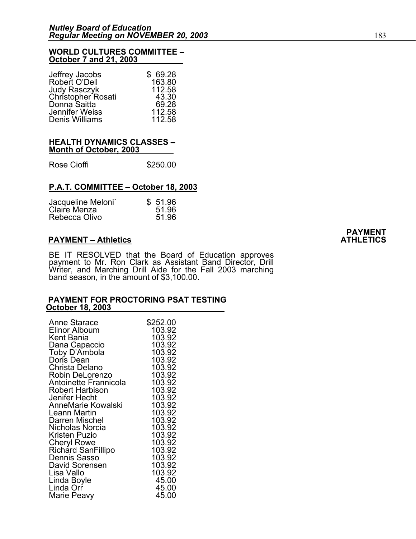#### **WORLD CULTURES COMMITTEE – October 7 and 21, 2003**

| \$69.28 |
|---------|
| 163.80  |
| 112.58  |
| 43.30   |
| 69.28   |
| 112.58  |
| 112.58  |
|         |

#### **HEALTH DYNAMICS CLASSES – Month of October, 2003**

Rose Cioffi **\$250.00** 

#### **P.A.T. COMMITTEE – October 18, 2003**

| Jacqueline Meloni | \$51.96 |
|-------------------|---------|
| Claire Menza      | 51.96   |
| Rebecca Olivo     | 51.96   |

BE IT RESOLVED that the Board of Education approves payment to Mr. Ron Clark as Assistant Band Director, Drill Writer, and Marching Drill Aide for the Fall 2003 marching<br>band season, in the amount of \$3,100.00.

# **PAYMENT FOR PROCTORING PSAT TESTING October 18, 2003**

| Anne Starace                                 | \$252.00 |
|----------------------------------------------|----------|
| <b>Elinor Alboum</b>                         | 103.92   |
| Kent Bania                                   | 103.92   |
|                                              | 103.92   |
|                                              | 103.92   |
| Dana Capaccio<br>Toby D'Ambola<br>Doris Dean | 103.92   |
| Christa Delano                               | 103.92   |
| Robin DeLorenzo                              | 103.92   |
| <b>Antoinette Frannicola</b>                 | 103.92   |
| <b>Robert Harbison</b>                       | 103.92   |
| Jenifer Hecht                                | 103.92   |
| AnneMarie Kowalski                           | 103.92   |
| Leann Martin                                 | 103.92   |
| Darren Mischel                               | 103.92   |
| Nicholas Norcia                              | 103.92   |
| Kristen Puzio                                | 103.92   |
| Cheryl Rowe                                  | 103.92   |
| Richard SanFillipo                           | 103.92   |
| Dennis Sasso                                 | 103.92   |
| David Sorensen                               | 103.92   |
| Lisa Vallo                                   | 103.92   |
| Linda Boyle                                  | 45.00    |
| Linda Orr                                    | 45.00    |
| Marie Peavy                                  | 45.00    |

PAYMENT – Athletics **PAYMENT** – Athletics **ATHLETICS**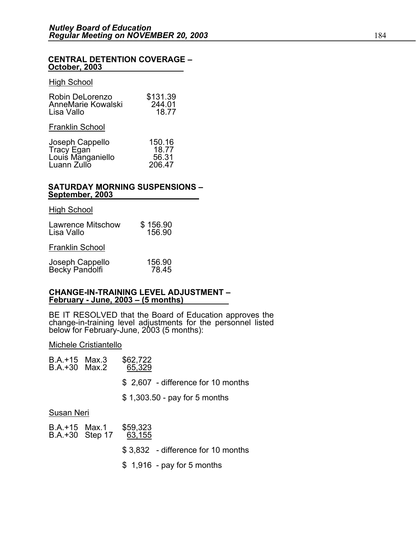# **CENTRAL DETENTION COVERAGE – October, 2003**

#### High School

| Robin DeLorenzo<br>AnneMarie Kowalski<br>Lisa Vallo               | \$131.39<br>244.01<br>18.77        |
|-------------------------------------------------------------------|------------------------------------|
| <b>Franklin School</b>                                            |                                    |
| Joseph Cappello<br>Tracy Egan<br>Louis Manganiello<br>Luann Zullo | 150.16<br>18.77<br>56.31<br>206.47 |

# **SATURDAY MORNING SUSPENSIONS – September, 2003**

| <b>High School</b>                     |                    |
|----------------------------------------|--------------------|
| <b>Lawrence Mitschow</b><br>Lisa Vallo | \$156.90<br>156.90 |
| <b>Franklin School</b>                 |                    |
| Joseph Cappello<br>Becky Pandolfi      | 156.90<br>78.45    |

#### **CHANGE-IN-TRAINING LEVEL ADJUSTMENT – February - June, 2003 – (5 months)**

BE IT RESOLVED that the Board of Education approves the change-in-training level adjustments for the personnel listed<br>below for February-June, 2003 (5 months):

#### Michele Cristiantello

| B.A.+15 Max.3<br>B.A.+30 Max.2 |                 | \$62,722<br>65,329                  |
|--------------------------------|-----------------|-------------------------------------|
|                                |                 | \$ 2,607 - difference for 10 months |
|                                |                 | $$1,303.50$ - pay for 5 months      |
| Susan Neri                     |                 |                                     |
| B.A.+15 Max.1                  | B.A.+30 Step 17 | \$59,323<br>63,155                  |
|                                |                 | \$3,832 - difference for 10 months  |
|                                |                 |                                     |

\$ 1,916 - pay for 5 months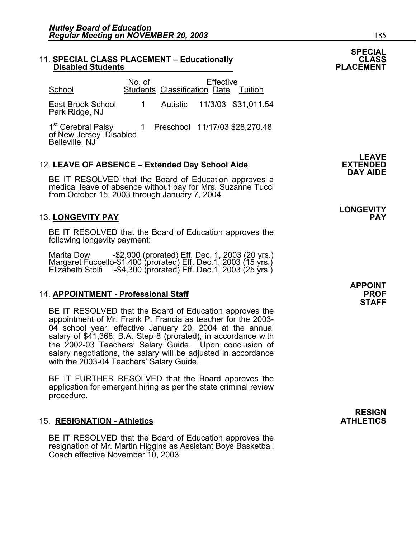## 11. SPECIAL CLASS PLACEMENT – Educationally **CLASS CLASS**<br>PLACEMENT – Disabled Students

| School                                                                                                      | No. of         | Students Classification Date Tuition | <b>Effective</b> |                              |
|-------------------------------------------------------------------------------------------------------------|----------------|--------------------------------------|------------------|------------------------------|
| East Brook School<br>Park Ridge, NJ                                                                         | $\overline{1}$ |                                      |                  | Autistic 11/3/03 \$31,011.54 |
| 1 <sup>st</sup> Cerebral Palsy 1 Preschool 11/17/03 \$28,270.48<br>of New Jersey Disabled<br>Belleville, NJ |                |                                      |                  |                              |

### 12. LEAVE OF ABSENCE - Extended Day School Aide

BE IT RESOLVED that the Board of Education approves a medical leave of absence without pay for Mrs. Suzanne Tucci from October 15, 2003 through January 7, 2004.

### 13. **LONGEVITY PAY PAY**

BE IT RESOLVED that the Board of Education approves the following longevity payment:

Marita Dow -\$2,900 (prorated) Eff. Dec. 1, 2003 (20 yrs.)<br>Margaret Fuccello-\$1,400 (prorated) Eff. Dec.1, 2003 (15 yrs.)<br>Elizabeth Stolfi -\$4,300 (prorated) Eff. Dec.1, 2003 (25 yrs.)

### 14. **APPOINTMENT - Professional Staff PROF**

BE IT RESOLVED that the Board of Education approves the appointment of Mr. Frank P. Francia as teacher for the 2003- 04 school year, effective January 20, 2004 at the annual salary of \$41,368, B.A. Step 8 (prorated), in accordance with the 2002-03 Teachers' Salary Guide. Upon conclusion of salary negotiations, the salary will be adjusted in accordance with the 2003-04 Teachers' Salary Guide.

BE IT FURTHER RESOLVED that the Board approves the application for emergent hiring as per the state criminal review procedure.

### 15. **RESIGNATION - Athletics** ATHLETICS

BE IT RESOLVED that the Board of Education approves the resignation of Mr. Martin Higgins as Assistant Boys Basketball Coach effective November 10, 2003.

**LEAVE**<br>EXTENDED **DAY AIDE** 

# **LONGEVITY**

**APPOINT STAFF** 

**RESIGN** 

**SPECIAL**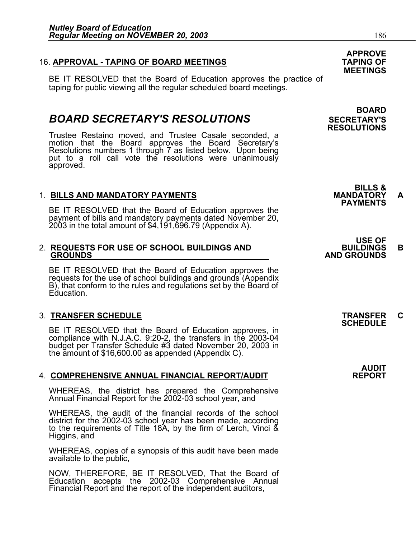### 16. **APPROVAL - TAPING OF BOARD MEETINGS TAPING OF**

BE IT RESOLVED that the Board of Education approves the practice of taping for public viewing all the regular scheduled board meetings.

### **BOARD SECRETARY'S RESOLUTIONS** SECRETARY'S

Trustee Restaino moved, and Trustee Casale seconded, a motion that the Board approves the Board Secretary's Resolutions numbers 1 through 7 as listed below. Upon being put to a roll call vote the resolutions were unanimously approved.

1. BILLS AND MANDATORY PAYMENTS<br>BE IT RESOLVED that the Board of Education approves the **PAYMENTS** Be imported that the Board of Board of Board of Board of Board of Board of Board amount of \$4,191,696.79 (Appendix A).

# 2. **REQUESTS FOR USE OF SCHOOL BUILDINGS AND BUILDINGS B GROUNDS AND GROUNDS**

BE IT RESOLVED that the Board of Education approves the requests for the use of school buildings and grounds (Appendix B), that conform to the rules and regulations set by the Board of Education.

## 3. **TRANSFER SCHEDULE TRANSFER C SCHEDULE**

BE IT RESOLVED that the Board of Education approves, in compliance with N.J.A.C. 9:20-2, the transfers in the 2003-04 budget per Transfer Schedule #3 dated November 20, 2003 in the amount of \$16,600.00 as appended (Appendix C).

### 4. **COMPREHENSIVE ANNUAL FINANCIAL REPORT/AUDIT REPORT**

WHEREAS, the district has prepared the Comprehensive Annual Financial Report for the 2002-03 school year, and

WHEREAS, the audit of the financial records of the school district for the 2002-03 school year has been made, according to the requirements of Title 18A, by the firm of Lerch, Vinci & Higgins, and

WHEREAS, copies of a synopsis of this audit have been made available to the public,

NOW, THEREFORE, BE IT RESOLVED, That the Board of Education accepts the 2002-03 Comprehensive Annual Financial Report and the report of the independent auditors,

### **APPROVE MEETINGS**

### **BOARD RESOLUTIONS**

**BILLS &** 

- **USE OF** 
	-

**AUDIT**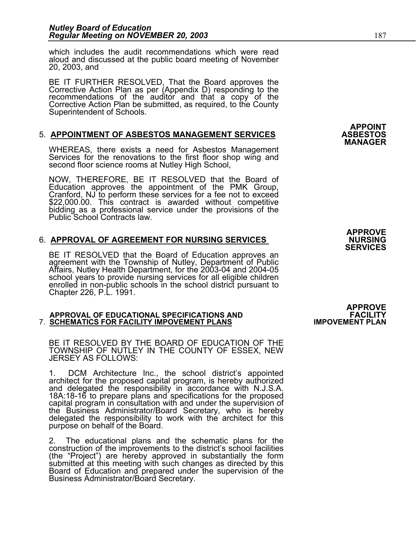which includes the audit recommendations which were read aloud and discussed at the public board meeting of November 20, 2003, and

BE IT FURTHER RESOLVED, That the Board approves the Corrective Action Plan as per (Appendix D) responding to the recommendations of the auditor and that a copy of the Corrective Action Plan be submitted, as required, to the County Superintendent of Schools.

## 5. **APPOINTMENT OF ASBESTOS MANAGEMENT SERVICES ASBESTOS MANAGER**

WHEREAS, there exists a need for Asbestos Management Services for the renovations to the first floor shop wing and second floor science rooms at Nutley High School,

NOW, THEREFORE, BE IT RESOLVED that the Board of Education approves the appointment of the PMK Group,<br>Cranford, NJ to perform these services for a fee not to exceed \$22,000.00. This contract is awarded without competitive bidding as a professional service under the provisions of the Public School Contracts law.

### **APPROVE**  6. **APPROVAL OF AGREEMENT FOR NURSING SERVICES NURSING SERVICES**

BE IT RESOLVED that the Board of Education approves an agreement with the Township of Nutley, Department of Public Affairs, Nutley Health Department, for the 2003-04 and 2004-05 school years to provide nursing services for enrolled in non-public schools in the school district pursuant to Chapter 226, P.L. 1991.

### **APPROVE APPROVAL OF EDUCATIONAL SPECIFICATIONS AND FACILITY 7. SCHEMATICS FOR FACILITY IMPOVEMENT PLANS**

BE IT RESOLVED BY THE BOARD OF EDUCATION OF THE TOWNSHIP OF NUTLEY IN THE COUNTY OF ESSEX, NEW JERSEY AS FOLLOWS:

1. DCM Architecture Inc., the school district's appointed architect for the proposed capital program, is hereby authorized and delegated the responsibility in accordance with N.J.S.A. 18A:18-16 to prepare plans and specifications for the proposed the Business Administrator/Board Secretary, who is hereby delegated the responsibility to work with the architect for this purpose on behalf of the Board.

İ 2. The educational plans and the schematic plans for the construction of the improvements to the district's school facilities (the "Project") are hereby approved in substantially the form<br>submitted at this meeting with such changes as directed by this<br>Board of Education and prepared under the supervision of the<br>Business Administrator/Board Secret **APPOINT**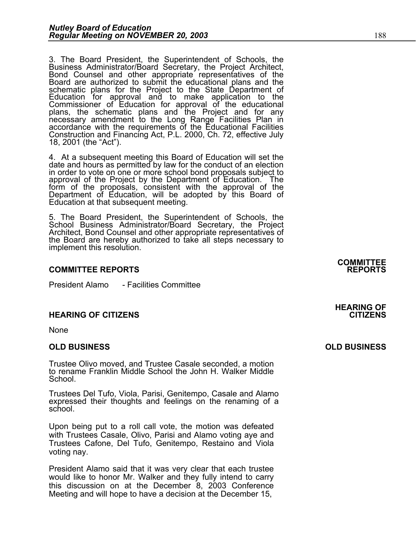3. The Board President, the Superintendent of Schools, the Business Administrator/Board Secretary, the Project Architect, Bond Counsel and other appropriate representatives of the Board are authorized to submit the educational plans and the<br>schematic plans for the Project to the State Department of<br>Education for approval and to make application to the Commissioner of Education for approval of the educational plans, the schematic plans and the Project and for any<br>necessary amendment to the Long Range Facilities Plan in<br>accordance with the requirements of the Educational Facilities accordance with the requirements of the Educational Facilities<br>Construction and Financing Act, P.L. 2000, Ch. 72, effective July<br>18, 2001 (the "Act").

4. At a subsequent meeting this Board of Education will set the date and hours as permitted by law for the conduct of an election<br>in order to vote on one or more school bond proposals subject to in order to vote on one or more school bond proposals subject to approval of the Project by the Department of Education. The form of the proposals, consistent with the approval of the<br>Department of Education, will be adopted by this Board of<br>Education at that subsequent meeting.

5. The Board President, the Superintendent of Schools, the<br>School Business Administrator/Board Secretary, the Project<br>Architect, Bond Counsel and other appropriate representatives of the Board are hereby authorized to take all steps necessary to implement this resolution.

#### **COMMITTEE REPORTS REPORTS**

President Alamo - Facilities Committee

#### **HEARING OF CITIZENS CITIZENS**

None

#### **OLD BUSINESS OLD BUSINESS**

Trustee Olivo moved, and Trustee Casale seconded, a motion to rename Franklin Middle School the John H. Walker Middle School.

Trustees Del Tufo, Viola, Parisi, Genitempo, Casale and Alamo expressed their thoughts and feelings on the renaming of a school.

Upon being put to a roll call vote, the motion was defeated with Trustees Casale, Olivo, Parisi and Alamo voting aye and Trustees Cafone, Del Tufo, Genitempo, Restaino and Viola voting nay.

President Alamo said that it was very clear that each trustee would like to honor Mr. Walker and they fully intend to carry this discussion on at the December 8, 2003 Conference Meeting and will hope to have a decision at the December 15,

**COMMITTEE**